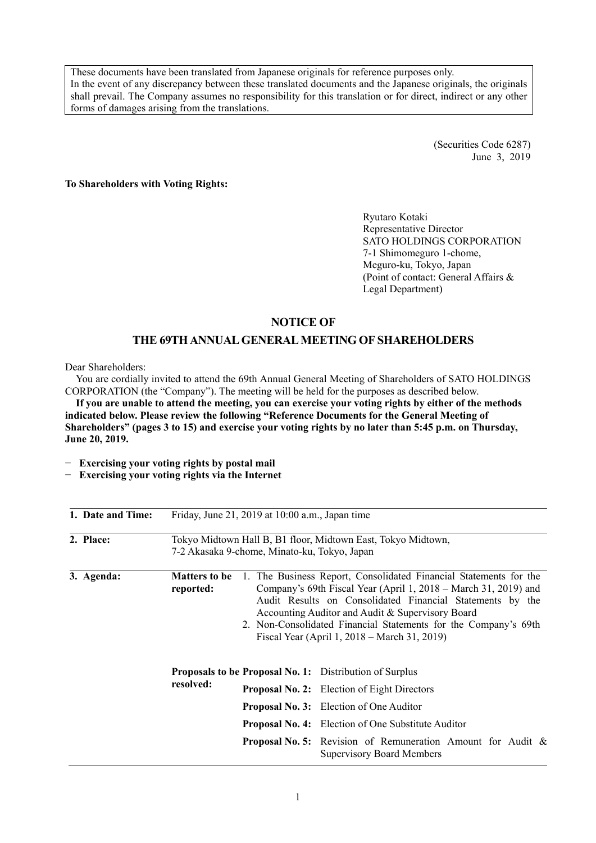These documents have been translated from Japanese originals for reference purposes only. In the event of any discrepancy between these translated documents and the Japanese originals, the originals shall prevail. The Company assumes no responsibility for this translation or for direct, indirect or any other forms of damages arising from the translations.

> (Securities Code 6287) June 3, 2019

**To Shareholders with Voting Rights:** 

Ryutaro Kotaki Representative Director SATO HOLDINGS CORPORATION 7-1 Shimomeguro 1-chome, Meguro-ku, Tokyo, Japan (Point of contact: General Affairs & Legal Department)

# **NOTICE OF**

# **THE 69TH ANNUAL GENERAL MEETING OF SHAREHOLDERS**

Dear Shareholders:

You are cordially invited to attend the 69th Annual General Meeting of Shareholders of SATO HOLDINGS CORPORATION (the "Company"). The meeting will be held for the purposes as described below.

**If you are unable to attend the meeting, you can exercise your voting rights by either of the methods indicated below. Please review the following "Reference Documents for the General Meeting of Shareholders" (pages 3 to 15) and exercise your voting rights by no later than 5:45 p.m. on Thursday, June 20, 2019.** 

− **Exercising your voting rights by postal mail** 

− **Exercising your voting rights via the Internet** 

| 1. Date and Time: |                                   | Friday, June 21, 2019 at 10:00 a.m., Japan time |                                                                                                                                                                                                                                                                                                                                                                          |
|-------------------|-----------------------------------|-------------------------------------------------|--------------------------------------------------------------------------------------------------------------------------------------------------------------------------------------------------------------------------------------------------------------------------------------------------------------------------------------------------------------------------|
| 2. Place:         |                                   | 7-2 Akasaka 9-chome, Minato-ku, Tokyo, Japan    | Tokyo Midtown Hall B, B1 floor, Midtown East, Tokyo Midtown,                                                                                                                                                                                                                                                                                                             |
| 3. Agenda:        | <b>Matters to be</b><br>reported: |                                                 | 1. The Business Report, Consolidated Financial Statements for the<br>Company's 69th Fiscal Year (April 1, 2018 – March 31, 2019) and<br>Audit Results on Consolidated Financial Statements by the<br>Accounting Auditor and Audit & Supervisory Board<br>2. Non-Consolidated Financial Statements for the Company's 69th<br>Fiscal Year (April 1, 2018 – March 31, 2019) |
|                   | resolved:                         |                                                 | <b>Proposals to be Proposal No. 1:</b> Distribution of Surplus                                                                                                                                                                                                                                                                                                           |
|                   |                                   |                                                 | <b>Proposal No. 2:</b> Election of Eight Directors                                                                                                                                                                                                                                                                                                                       |
|                   |                                   |                                                 | <b>Proposal No. 3:</b> Election of One Auditor                                                                                                                                                                                                                                                                                                                           |
|                   |                                   |                                                 | <b>Proposal No. 4:</b> Election of One Substitute Auditor                                                                                                                                                                                                                                                                                                                |
|                   |                                   |                                                 | <b>Proposal No. 5:</b> Revision of Remuneration Amount for Audit &<br><b>Supervisory Board Members</b>                                                                                                                                                                                                                                                                   |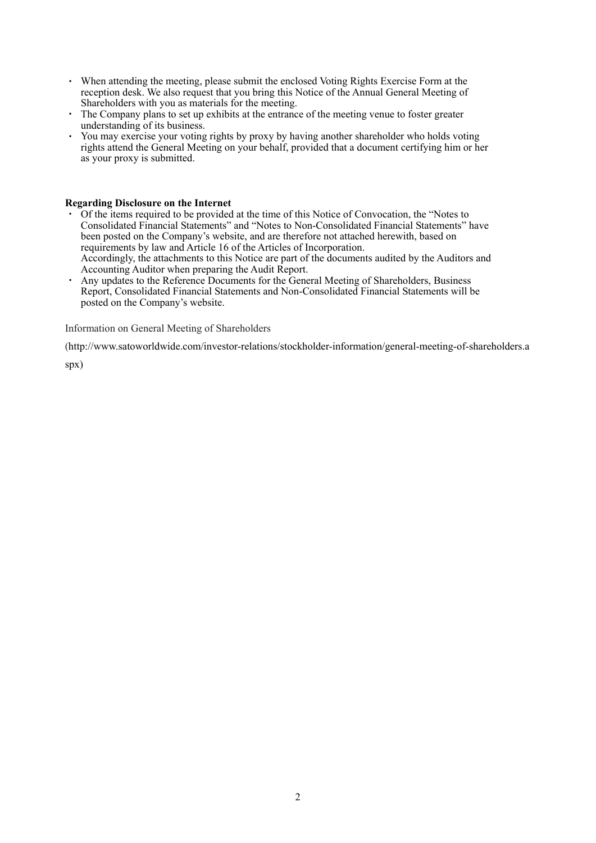- ・ When attending the meeting, please submit the enclosed Voting Rights Exercise Form at the reception desk. We also request that you bring this Notice of the Annual General Meeting of Shareholders with you as materials for the meeting.
- ・ The Company plans to set up exhibits at the entrance of the meeting venue to foster greater understanding of its business.
- ・ You may exercise your voting rights by proxy by having another shareholder who holds voting rights attend the General Meeting on your behalf, provided that a document certifying him or her as your proxy is submitted.

#### **Regarding Disclosure on the Internet**

- ・ Of the items required to be provided at the time of this Notice of Convocation, the "Notes to Consolidated Financial Statements" and "Notes to Non-Consolidated Financial Statements" have been posted on the Company's website, and are therefore not attached herewith, based on requirements by law and Article 16 of the Articles of Incorporation. Accordingly, the attachments to this Notice are part of the documents audited by the Auditors and
- Accounting Auditor when preparing the Audit Report. ・ Any updates to the Reference Documents for the General Meeting of Shareholders, Business Report, Consolidated Financial Statements and Non-Consolidated Financial Statements will be posted on the Company's website.

Information on General Meeting of Shareholders

(http://www.satoworldwide.com/investor-relations/stockholder-information/general-meeting-of-shareholders.a

spx)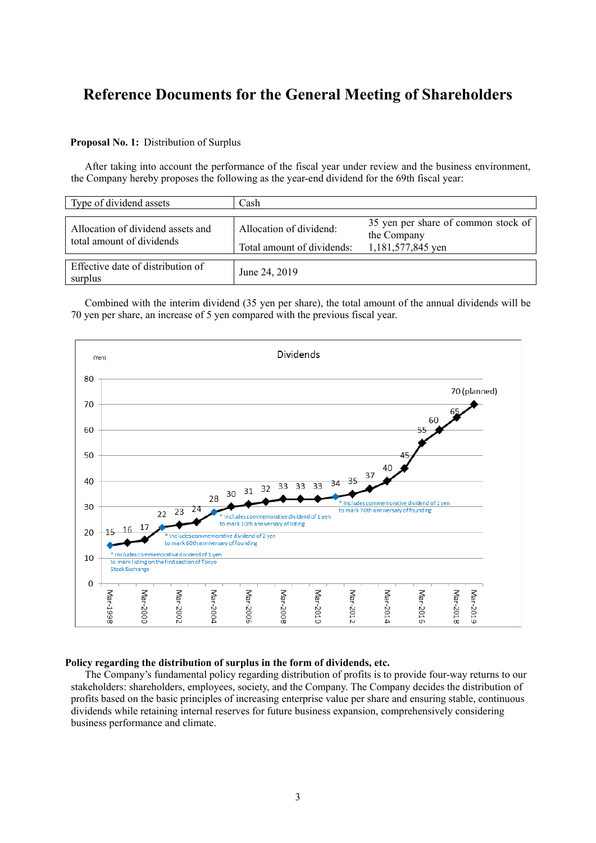# **Reference Documents for the General Meeting of Shareholders**

# **Proposal No. 1:** Distribution of Surplus

After taking into account the performance of the fiscal year under review and the business environment, the Company hereby proposes the following as the year-end dividend for the 69th fiscal year:

| Type of dividend assets                                        | Cash                                                  |                                                                         |
|----------------------------------------------------------------|-------------------------------------------------------|-------------------------------------------------------------------------|
| Allocation of dividend assets and<br>total amount of dividends | Allocation of dividend:<br>Total amount of dividends: | 35 yen per share of common stock of<br>the Company<br>1,181,577,845 yen |
| Effective date of distribution of<br>surplus                   | June 24, 2019                                         |                                                                         |

Combined with the interim dividend (35 yen per share), the total amount of the annual dividends will be 70 yen per share, an increase of 5 yen compared with the previous fiscal year.



#### **Policy regarding the distribution of surplus in the form of dividends, etc.**

The Company's fundamental policy regarding distribution of profits is to provide four-way returns to our stakeholders: shareholders, employees, society, and the Company. The Company decides the distribution of profits based on the basic principles of increasing enterprise value per share and ensuring stable, continuous dividends while retaining internal reserves for future business expansion, comprehensively considering business performance and climate.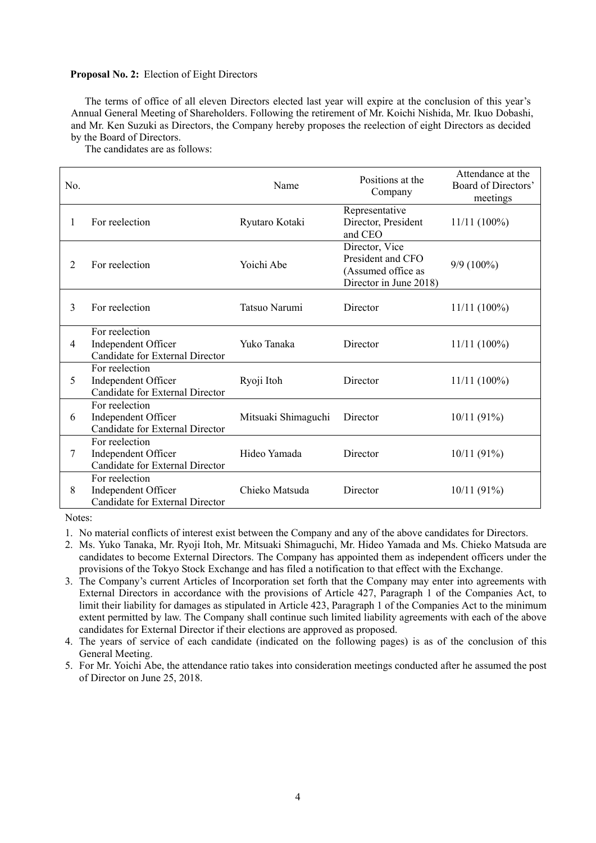#### **Proposal No. 2:** Election of Eight Directors

The terms of office of all eleven Directors elected last year will expire at the conclusion of this year's Annual General Meeting of Shareholders. Following the retirement of Mr. Koichi Nishida, Mr. Ikuo Dobashi, and Mr. Ken Suzuki as Directors, the Company hereby proposes the reelection of eight Directors as decided by the Board of Directors.

The candidates are as follows:

| No. |                                                                          | Name                | Positions at the<br>Company                                                         | Attendance at the<br>Board of Directors'<br>meetings |
|-----|--------------------------------------------------------------------------|---------------------|-------------------------------------------------------------------------------------|------------------------------------------------------|
| 1   | For reelection                                                           | Ryutaro Kotaki      | Representative<br>Director, President<br>and CEO                                    | $11/11(100\%)$                                       |
| 2   | For reelection                                                           | Yoichi Abe          | Director, Vice<br>President and CFO<br>(Assumed office as<br>Director in June 2018) | $9/9(100\%)$                                         |
| 3   | For reelection                                                           | Tatsuo Narumi       | Director                                                                            | $11/11(100\%)$                                       |
| 4   | For reelection<br>Independent Officer<br>Candidate for External Director | Yuko Tanaka         | Director                                                                            | $11/11(100\%)$                                       |
| 5   | For reelection<br>Independent Officer<br>Candidate for External Director | Ryoji Itoh          | Director                                                                            | $11/11(100\%)$                                       |
| 6   | For reelection<br>Independent Officer<br>Candidate for External Director | Mitsuaki Shimaguchi | Director                                                                            | 10/11(91%)                                           |
| 7   | For reelection<br>Independent Officer<br>Candidate for External Director | Hideo Yamada        | Director                                                                            | 10/11(91%)                                           |
| 8   | For reelection<br>Independent Officer<br>Candidate for External Director | Chieko Matsuda      | Director                                                                            | 10/11(91%)                                           |

Notes:

- 1. No material conflicts of interest exist between the Company and any of the above candidates for Directors.
- 2. Ms. Yuko Tanaka, Mr. Ryoji Itoh, Mr. Mitsuaki Shimaguchi, Mr. Hideo Yamada and Ms. Chieko Matsuda are candidates to become External Directors. The Company has appointed them as independent officers under the provisions of the Tokyo Stock Exchange and has filed a notification to that effect with the Exchange.
- 3. The Company's current Articles of Incorporation set forth that the Company may enter into agreements with External Directors in accordance with the provisions of Article 427, Paragraph 1 of the Companies Act, to limit their liability for damages as stipulated in Article 423, Paragraph 1 of the Companies Act to the minimum extent permitted by law. The Company shall continue such limited liability agreements with each of the above candidates for External Director if their elections are approved as proposed.
- 4. The years of service of each candidate (indicated on the following pages) is as of the conclusion of this General Meeting.
- 5. For Mr. Yoichi Abe, the attendance ratio takes into consideration meetings conducted after he assumed the post of Director on June 25, 2018.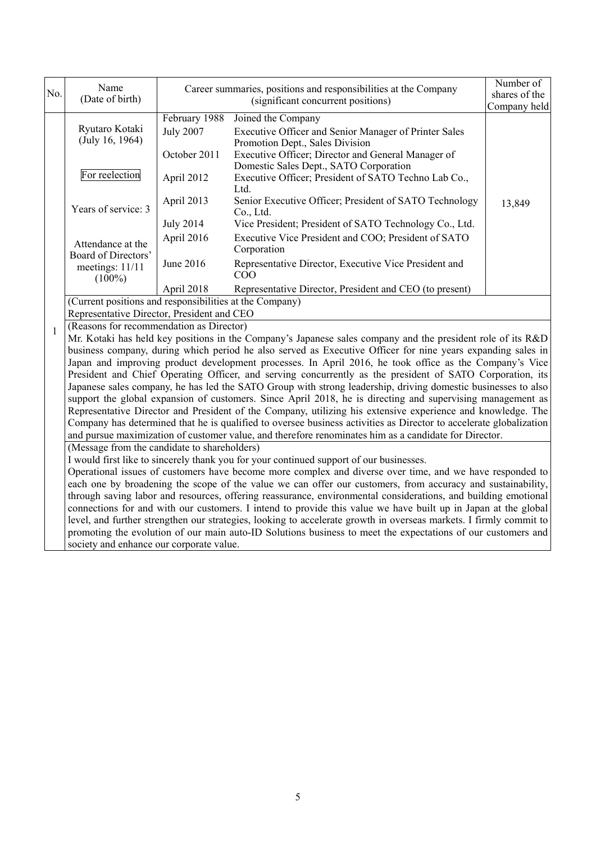| No.          | Name<br>(Date of birth)                                                                                                                                                                                                          | Career summaries, positions and responsibilities at the Company<br>(significant concurrent positions)                                                                                                                      |                                                                                                                                                                                                                                   | Number of<br>shares of the<br>Company held |  |  |  |
|--------------|----------------------------------------------------------------------------------------------------------------------------------------------------------------------------------------------------------------------------------|----------------------------------------------------------------------------------------------------------------------------------------------------------------------------------------------------------------------------|-----------------------------------------------------------------------------------------------------------------------------------------------------------------------------------------------------------------------------------|--------------------------------------------|--|--|--|
|              | Ryutaro Kotaki<br>(July 16, 1964)                                                                                                                                                                                                | February 1988<br><b>July 2007</b><br>October 2011                                                                                                                                                                          | Joined the Company<br>Executive Officer and Senior Manager of Printer Sales<br>Promotion Dept., Sales Division<br>Executive Officer; Director and General Manager of                                                              |                                            |  |  |  |
|              | For reelection                                                                                                                                                                                                                   | April 2012                                                                                                                                                                                                                 | Domestic Sales Dept., SATO Corporation<br>Executive Officer; President of SATO Techno Lab Co.,<br>Ltd.                                                                                                                            |                                            |  |  |  |
|              | Years of service: 3                                                                                                                                                                                                              | April 2013                                                                                                                                                                                                                 | Senior Executive Officer; President of SATO Technology<br>Co., Ltd.                                                                                                                                                               | 13,849                                     |  |  |  |
|              | Attendance at the                                                                                                                                                                                                                | <b>July 2014</b><br>April 2016                                                                                                                                                                                             | Vice President; President of SATO Technology Co., Ltd.<br>Executive Vice President and COO; President of SATO<br>Corporation                                                                                                      |                                            |  |  |  |
|              | Board of Directors'<br>meetings: 11/11<br>$(100\%)$                                                                                                                                                                              | June 2016                                                                                                                                                                                                                  | Representative Director, Executive Vice President and<br>COO                                                                                                                                                                      |                                            |  |  |  |
|              |                                                                                                                                                                                                                                  | April 2018                                                                                                                                                                                                                 | Representative Director, President and CEO (to present)                                                                                                                                                                           |                                            |  |  |  |
|              | (Current positions and responsibilities at the Company)                                                                                                                                                                          |                                                                                                                                                                                                                            |                                                                                                                                                                                                                                   |                                            |  |  |  |
|              | Representative Director, President and CEO                                                                                                                                                                                       |                                                                                                                                                                                                                            |                                                                                                                                                                                                                                   |                                            |  |  |  |
| $\mathbf{1}$ | (Reasons for recommendation as Director)                                                                                                                                                                                         |                                                                                                                                                                                                                            |                                                                                                                                                                                                                                   |                                            |  |  |  |
|              |                                                                                                                                                                                                                                  | Mr. Kotaki has held key positions in the Company's Japanese sales company and the president role of its R&D<br>business company, during which period he also served as Executive Officer for nine years expanding sales in |                                                                                                                                                                                                                                   |                                            |  |  |  |
|              |                                                                                                                                                                                                                                  |                                                                                                                                                                                                                            | Japan and improving product development processes. In April 2016, he took office as the Company's Vice                                                                                                                            |                                            |  |  |  |
|              |                                                                                                                                                                                                                                  |                                                                                                                                                                                                                            | President and Chief Operating Officer, and serving concurrently as the president of SATO Corporation, its                                                                                                                         |                                            |  |  |  |
|              |                                                                                                                                                                                                                                  |                                                                                                                                                                                                                            | Japanese sales company, he has led the SATO Group with strong leadership, driving domestic businesses to also                                                                                                                     |                                            |  |  |  |
|              |                                                                                                                                                                                                                                  |                                                                                                                                                                                                                            | support the global expansion of customers. Since April 2018, he is directing and supervising management as                                                                                                                        |                                            |  |  |  |
|              |                                                                                                                                                                                                                                  |                                                                                                                                                                                                                            | Representative Director and President of the Company, utilizing his extensive experience and knowledge. The<br>Company has determined that he is qualified to oversee business activities as Director to accelerate globalization |                                            |  |  |  |
|              |                                                                                                                                                                                                                                  |                                                                                                                                                                                                                            | and pursue maximization of customer value, and therefore renominates him as a candidate for Director.                                                                                                                             |                                            |  |  |  |
|              | (Message from the candidate to shareholders)                                                                                                                                                                                     |                                                                                                                                                                                                                            |                                                                                                                                                                                                                                   |                                            |  |  |  |
|              |                                                                                                                                                                                                                                  |                                                                                                                                                                                                                            | I would first like to sincerely thank you for your continued support of our businesses.                                                                                                                                           |                                            |  |  |  |
|              | Operational issues of customers have become more complex and diverse over time, and we have responded to                                                                                                                         |                                                                                                                                                                                                                            |                                                                                                                                                                                                                                   |                                            |  |  |  |
|              | each one by broadening the scope of the value we can offer our customers, from accuracy and sustainability,                                                                                                                      |                                                                                                                                                                                                                            |                                                                                                                                                                                                                                   |                                            |  |  |  |
|              | through saving labor and resources, offering reassurance, environmental considerations, and building emotional<br>connections for and with our customers. I intend to provide this value we have built up in Japan at the global |                                                                                                                                                                                                                            |                                                                                                                                                                                                                                   |                                            |  |  |  |
|              |                                                                                                                                                                                                                                  |                                                                                                                                                                                                                            | level, and further strengthen our strategies, looking to accelerate growth in overseas markets. I firmly commit to                                                                                                                |                                            |  |  |  |
|              |                                                                                                                                                                                                                                  |                                                                                                                                                                                                                            | promoting the evolution of our main auto-ID Solutions business to meet the expectations of our customers and                                                                                                                      |                                            |  |  |  |
|              | society and enhance our corporate value.                                                                                                                                                                                         |                                                                                                                                                                                                                            |                                                                                                                                                                                                                                   |                                            |  |  |  |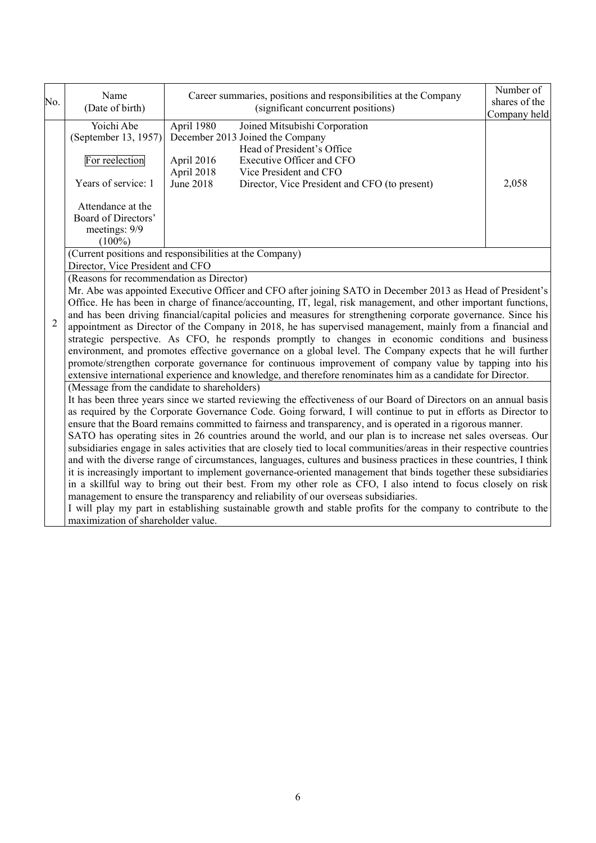| No.            | Name<br>(Date of birth)                                                                                                                                                                                                                                                                                                                                                                                                                                                                                                                                                                                                                                                                                                                                                                                                                                                                                                                                                                                                                                                                                                                                                                                                                                                                                                                                                                                                                                                        | Career summaries, positions and responsibilities at the Company<br>(significant concurrent positions)                                                                                                                                                                          | Number of<br>shares of the<br>Company held |  |  |  |  |
|----------------|--------------------------------------------------------------------------------------------------------------------------------------------------------------------------------------------------------------------------------------------------------------------------------------------------------------------------------------------------------------------------------------------------------------------------------------------------------------------------------------------------------------------------------------------------------------------------------------------------------------------------------------------------------------------------------------------------------------------------------------------------------------------------------------------------------------------------------------------------------------------------------------------------------------------------------------------------------------------------------------------------------------------------------------------------------------------------------------------------------------------------------------------------------------------------------------------------------------------------------------------------------------------------------------------------------------------------------------------------------------------------------------------------------------------------------------------------------------------------------|--------------------------------------------------------------------------------------------------------------------------------------------------------------------------------------------------------------------------------------------------------------------------------|--------------------------------------------|--|--|--|--|
|                | Yoichi Abe<br>(September 13, 1957)<br>For reelection<br>Years of service: 1<br>Attendance at the<br>Board of Directors'<br>meetings: 9/9<br>$(100\%)$                                                                                                                                                                                                                                                                                                                                                                                                                                                                                                                                                                                                                                                                                                                                                                                                                                                                                                                                                                                                                                                                                                                                                                                                                                                                                                                          | April 1980<br>Joined Mitsubishi Corporation<br>December 2013 Joined the Company<br>Head of President's Office<br>April 2016<br>Executive Officer and CFO<br>April 2018<br>Vice President and CFO<br><b>June 2018</b><br>Director, Vice President and CFO (to present)<br>2,058 |                                            |  |  |  |  |
|                |                                                                                                                                                                                                                                                                                                                                                                                                                                                                                                                                                                                                                                                                                                                                                                                                                                                                                                                                                                                                                                                                                                                                                                                                                                                                                                                                                                                                                                                                                | (Current positions and responsibilities at the Company)<br>Director, Vice President and CFO                                                                                                                                                                                    |                                            |  |  |  |  |
| $\overline{2}$ | (Reasons for recommendation as Director)<br>Mr. Abe was appointed Executive Officer and CFO after joining SATO in December 2013 as Head of President's<br>Office. He has been in charge of finance/accounting, IT, legal, risk management, and other important functions,<br>and has been driving financial/capital policies and measures for strengthening corporate governance. Since his<br>appointment as Director of the Company in 2018, he has supervised management, mainly from a financial and<br>strategic perspective. As CFO, he responds promptly to changes in economic conditions and business<br>environment, and promotes effective governance on a global level. The Company expects that he will further<br>promote/strengthen corporate governance for continuous improvement of company value by tapping into his<br>extensive international experience and knowledge, and therefore renominates him as a candidate for Director.<br>(Message from the candidate to shareholders)<br>It has been three years since we started reviewing the effectiveness of our Board of Directors on an annual basis<br>as required by the Corporate Governance Code. Going forward, I will continue to put in efforts as Director to<br>ensure that the Board remains committed to fairness and transparency, and is operated in a rigorous manner.<br>SATO has operating sites in 26 countries around the world, and our plan is to increase net sales overseas. Our |                                                                                                                                                                                                                                                                                |                                            |  |  |  |  |
|                | subsidiaries engage in sales activities that are closely tied to local communities/areas in their respective countries<br>and with the diverse range of circumstances, languages, cultures and business practices in these countries, I think<br>it is increasingly important to implement governance-oriented management that binds together these subsidiaries<br>in a skillful way to bring out their best. From my other role as CFO, I also intend to focus closely on risk<br>management to ensure the transparency and reliability of our overseas subsidiaries.<br>I will play my part in establishing sustainable growth and stable profits for the company to contribute to the<br>maximization of shareholder value.                                                                                                                                                                                                                                                                                                                                                                                                                                                                                                                                                                                                                                                                                                                                                |                                                                                                                                                                                                                                                                                |                                            |  |  |  |  |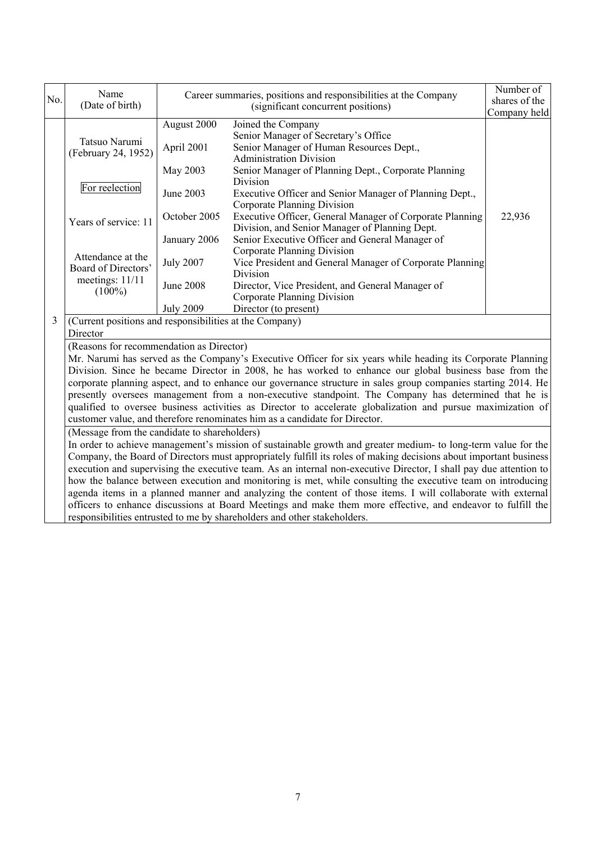| No. | Name                                                                                                                                                                                                                                                                                                                                                                                                                                                                                                                                                                                                                                                                                                                                                                                                                             |                                       | Career summaries, positions and responsibilities at the Company                                                                                                                                                                                                                                                                                                                                                                                                                                                                                                                                                                             | Number of<br>shares of the |  |
|-----|----------------------------------------------------------------------------------------------------------------------------------------------------------------------------------------------------------------------------------------------------------------------------------------------------------------------------------------------------------------------------------------------------------------------------------------------------------------------------------------------------------------------------------------------------------------------------------------------------------------------------------------------------------------------------------------------------------------------------------------------------------------------------------------------------------------------------------|---------------------------------------|---------------------------------------------------------------------------------------------------------------------------------------------------------------------------------------------------------------------------------------------------------------------------------------------------------------------------------------------------------------------------------------------------------------------------------------------------------------------------------------------------------------------------------------------------------------------------------------------------------------------------------------------|----------------------------|--|
|     | (Date of birth)                                                                                                                                                                                                                                                                                                                                                                                                                                                                                                                                                                                                                                                                                                                                                                                                                  | (significant concurrent positions)    |                                                                                                                                                                                                                                                                                                                                                                                                                                                                                                                                                                                                                                             | Company held               |  |
|     | Tatsuo Narumi<br>(February 24, 1952)                                                                                                                                                                                                                                                                                                                                                                                                                                                                                                                                                                                                                                                                                                                                                                                             | August 2000<br>April 2001<br>May 2003 | Joined the Company<br>Senior Manager of Secretary's Office<br>Senior Manager of Human Resources Dept.,<br><b>Administration Division</b><br>Senior Manager of Planning Dept., Corporate Planning                                                                                                                                                                                                                                                                                                                                                                                                                                            |                            |  |
|     | For reelection                                                                                                                                                                                                                                                                                                                                                                                                                                                                                                                                                                                                                                                                                                                                                                                                                   | June 2003                             | Division<br>Executive Officer and Senior Manager of Planning Dept.,<br>Corporate Planning Division                                                                                                                                                                                                                                                                                                                                                                                                                                                                                                                                          |                            |  |
|     | Years of service: 11                                                                                                                                                                                                                                                                                                                                                                                                                                                                                                                                                                                                                                                                                                                                                                                                             | October 2005<br>January 2006          | Executive Officer, General Manager of Corporate Planning<br>Division, and Senior Manager of Planning Dept.<br>Senior Executive Officer and General Manager of                                                                                                                                                                                                                                                                                                                                                                                                                                                                               | 22,936                     |  |
|     | Attendance at the<br>Board of Directors'                                                                                                                                                                                                                                                                                                                                                                                                                                                                                                                                                                                                                                                                                                                                                                                         | <b>July 2007</b>                      | Corporate Planning Division<br>Vice President and General Manager of Corporate Planning<br>Division                                                                                                                                                                                                                                                                                                                                                                                                                                                                                                                                         |                            |  |
|     | meetings: 11/11<br>$(100\%)$                                                                                                                                                                                                                                                                                                                                                                                                                                                                                                                                                                                                                                                                                                                                                                                                     | June 2008<br><b>July 2009</b>         | Director, Vice President, and General Manager of<br>Corporate Planning Division<br>Director (to present)                                                                                                                                                                                                                                                                                                                                                                                                                                                                                                                                    |                            |  |
| 3   | (Current positions and responsibilities at the Company)<br>Director                                                                                                                                                                                                                                                                                                                                                                                                                                                                                                                                                                                                                                                                                                                                                              |                                       |                                                                                                                                                                                                                                                                                                                                                                                                                                                                                                                                                                                                                                             |                            |  |
|     | (Reasons for recommendation as Director)                                                                                                                                                                                                                                                                                                                                                                                                                                                                                                                                                                                                                                                                                                                                                                                         |                                       | Mr. Narumi has served as the Company's Executive Officer for six years while heading its Corporate Planning<br>Division. Since he became Director in 2008, he has worked to enhance our global business base from the<br>corporate planning aspect, and to enhance our governance structure in sales group companies starting 2014. He<br>presently oversees management from a non-executive standpoint. The Company has determined that he is<br>qualified to oversee business activities as Director to accelerate globalization and pursue maximization of<br>customer value, and therefore renominates him as a candidate for Director. |                            |  |
|     | (Message from the candidate to shareholders)<br>In order to achieve management's mission of sustainable growth and greater medium- to long-term value for the<br>Company, the Board of Directors must appropriately fulfill its roles of making decisions about important business<br>execution and supervising the executive team. As an internal non-executive Director, I shall pay due attention to<br>how the balance between execution and monitoring is met, while consulting the executive team on introducing<br>agenda items in a planned manner and analyzing the content of those items. I will collaborate with external<br>officers to enhance discussions at Board Meetings and make them more effective, and endeavor to fulfill the<br>responsibilities entrusted to me by shareholders and other stakeholders. |                                       |                                                                                                                                                                                                                                                                                                                                                                                                                                                                                                                                                                                                                                             |                            |  |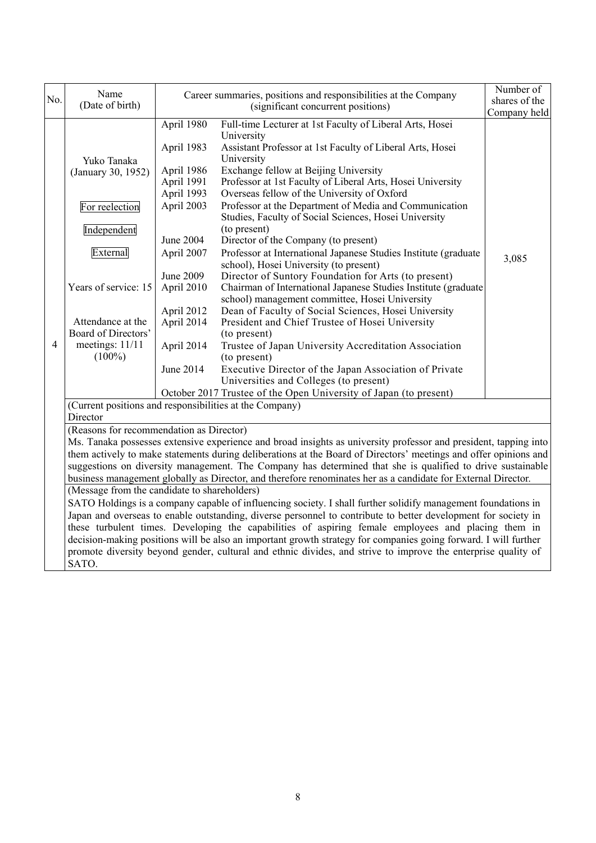| No.            | Name                                                                                                                                                                               | Career summaries, positions and responsibilities at the Company                                                                                                                                                                                                                                                                                                                                                                                                                                                                                                                                                                                                                                                                                                                                                                                                                                                                                                                                                                                                                                                                                                                                                                                                                                                                                           | Number of                     |
|----------------|------------------------------------------------------------------------------------------------------------------------------------------------------------------------------------|-----------------------------------------------------------------------------------------------------------------------------------------------------------------------------------------------------------------------------------------------------------------------------------------------------------------------------------------------------------------------------------------------------------------------------------------------------------------------------------------------------------------------------------------------------------------------------------------------------------------------------------------------------------------------------------------------------------------------------------------------------------------------------------------------------------------------------------------------------------------------------------------------------------------------------------------------------------------------------------------------------------------------------------------------------------------------------------------------------------------------------------------------------------------------------------------------------------------------------------------------------------------------------------------------------------------------------------------------------------|-------------------------------|
|                | (Date of birth)                                                                                                                                                                    | (significant concurrent positions)                                                                                                                                                                                                                                                                                                                                                                                                                                                                                                                                                                                                                                                                                                                                                                                                                                                                                                                                                                                                                                                                                                                                                                                                                                                                                                                        | shares of the<br>Company held |
| $\overline{4}$ | Yuko Tanaka<br>(January 30, 1952)<br>For reelection<br>Independent<br>External<br>Years of service: 15<br>Attendance at the<br>Board of Directors'<br>meetings: 11/11<br>$(100\%)$ | April 1980<br>Full-time Lecturer at 1st Faculty of Liberal Arts, Hosei<br>University<br>April 1983<br>Assistant Professor at 1st Faculty of Liberal Arts, Hosei<br>University<br>Exchange fellow at Beijing University<br>April 1986<br>April 1991<br>Professor at 1st Faculty of Liberal Arts, Hosei University<br>Overseas fellow of the University of Oxford<br>April 1993<br>April 2003<br>Professor at the Department of Media and Communication<br>Studies, Faculty of Social Sciences, Hosei University<br>(to present)<br>June 2004<br>Director of the Company (to present)<br>Professor at International Japanese Studies Institute (graduate<br>April 2007<br>school), Hosei University (to present)<br>June 2009<br>Director of Suntory Foundation for Arts (to present)<br>April 2010<br>Chairman of International Japanese Studies Institute (graduate<br>school) management committee, Hosei University<br>April 2012<br>Dean of Faculty of Social Sciences, Hosei University<br>April 2014<br>President and Chief Trustee of Hosei University<br>(to present)<br>April 2014<br>Trustee of Japan University Accreditation Association<br>(to present)<br>Executive Director of the Japan Association of Private<br>June 2014<br>Universities and Colleges (to present)<br>October 2017 Trustee of the Open University of Japan (to present) | 3,085                         |
|                |                                                                                                                                                                                    | (Current positions and responsibilities at the Company)                                                                                                                                                                                                                                                                                                                                                                                                                                                                                                                                                                                                                                                                                                                                                                                                                                                                                                                                                                                                                                                                                                                                                                                                                                                                                                   |                               |
|                | Director                                                                                                                                                                           | (Reasons for recommendation as Director)                                                                                                                                                                                                                                                                                                                                                                                                                                                                                                                                                                                                                                                                                                                                                                                                                                                                                                                                                                                                                                                                                                                                                                                                                                                                                                                  |                               |
|                | SATO.                                                                                                                                                                              | Ms. Tanaka possesses extensive experience and broad insights as university professor and president, tapping into<br>them actively to make statements during deliberations at the Board of Directors' meetings and offer opinions and<br>suggestions on diversity management. The Company has determined that she is qualified to drive sustainable<br>business management globally as Director, and therefore renominates her as a candidate for External Director.<br>(Message from the candidate to shareholders)<br>SATO Holdings is a company capable of influencing society. I shall further solidify management foundations in<br>Japan and overseas to enable outstanding, diverse personnel to contribute to better development for society in<br>these turbulent times. Developing the capabilities of aspiring female employees and placing them in<br>decision-making positions will be also an important growth strategy for companies going forward. I will further<br>promote diversity beyond gender, cultural and ethnic divides, and strive to improve the enterprise quality of                                                                                                                                                                                                                                                         |                               |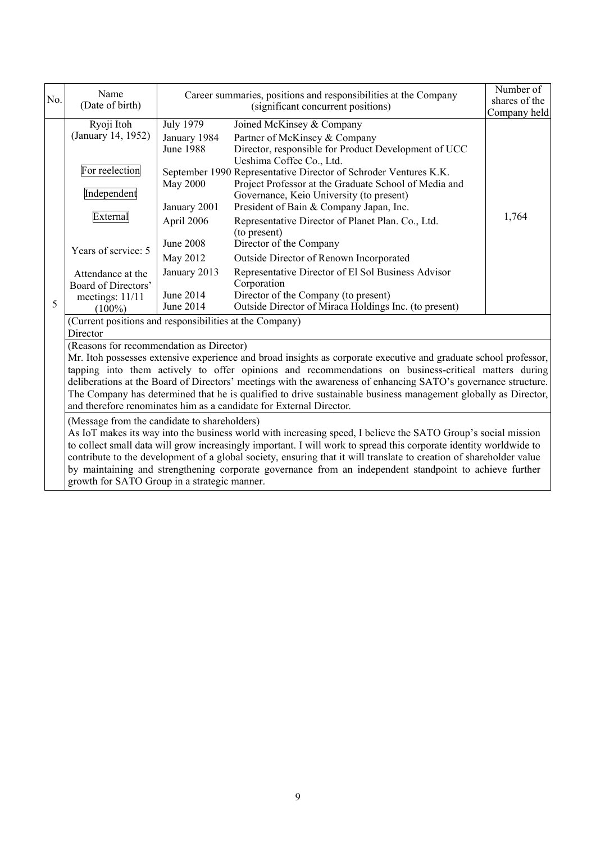| No. | Name<br>(Date of birth)                                                                                                                                                                                                                                                                                                                                                                                                                                                                                                                                                         | Career summaries, positions and responsibilities at the Company<br>(significant concurrent positions) |                                                                                                                                                                                                                                                                                       | Number of<br>shares of the<br>Company held |  |
|-----|---------------------------------------------------------------------------------------------------------------------------------------------------------------------------------------------------------------------------------------------------------------------------------------------------------------------------------------------------------------------------------------------------------------------------------------------------------------------------------------------------------------------------------------------------------------------------------|-------------------------------------------------------------------------------------------------------|---------------------------------------------------------------------------------------------------------------------------------------------------------------------------------------------------------------------------------------------------------------------------------------|--------------------------------------------|--|
|     | Ryoji Itoh<br>(January 14, 1952)                                                                                                                                                                                                                                                                                                                                                                                                                                                                                                                                                | <b>July 1979</b><br>January 1984<br><b>June 1988</b>                                                  | Joined McKinsey & Company<br>Partner of McKinsey & Company<br>Director, responsible for Product Development of UCC<br>Ueshima Coffee Co., Ltd.                                                                                                                                        |                                            |  |
|     | For reelection<br>Independent<br>External                                                                                                                                                                                                                                                                                                                                                                                                                                                                                                                                       | May 2000<br>January 2001<br>April 2006                                                                | September 1990 Representative Director of Schroder Ventures K.K.<br>Project Professor at the Graduate School of Media and<br>Governance, Keio University (to present)<br>President of Bain & Company Japan, Inc.<br>Representative Director of Planet Plan. Co., Ltd.<br>(to present) | 1,764                                      |  |
|     | Years of service: 5                                                                                                                                                                                                                                                                                                                                                                                                                                                                                                                                                             | <b>June 2008</b><br>May 2012                                                                          | Director of the Company<br>Outside Director of Renown Incorporated                                                                                                                                                                                                                    |                                            |  |
| 5   | Attendance at the<br>Board of Directors'<br>meetings: 11/11<br>$(100\%)$                                                                                                                                                                                                                                                                                                                                                                                                                                                                                                        | January 2013<br>June 2014<br>June 2014                                                                | Representative Director of El Sol Business Advisor<br>Corporation<br>Director of the Company (to present)<br>Outside Director of Miraca Holdings Inc. (to present)                                                                                                                    |                                            |  |
|     | (Current positions and responsibilities at the Company)<br>Director                                                                                                                                                                                                                                                                                                                                                                                                                                                                                                             |                                                                                                       |                                                                                                                                                                                                                                                                                       |                                            |  |
|     | (Reasons for recommendation as Director)<br>Mr. Itoh possesses extensive experience and broad insights as corporate executive and graduate school professor,<br>tapping into them actively to offer opinions and recommendations on business-critical matters during<br>deliberations at the Board of Directors' meetings with the awareness of enhancing SATO's governance structure.<br>The Company has determined that he is qualified to drive sustainable business management globally as Director,<br>and therefore renominates him as a candidate for External Director. |                                                                                                       |                                                                                                                                                                                                                                                                                       |                                            |  |
|     | (Message from the candidate to shareholders)<br>As IoT makes its way into the business world with increasing speed, I believe the SATO Group's social mission<br>to collect small data will grow increasingly important. I will work to spread this corporate identity worldwide to<br>contribute to the development of a global society, ensuring that it will translate to creation of shareholder value<br>by maintaining and strengthening corporate governance from an independent standpoint to achieve further<br>growth for SATO Group in a strategic manner.           |                                                                                                       |                                                                                                                                                                                                                                                                                       |                                            |  |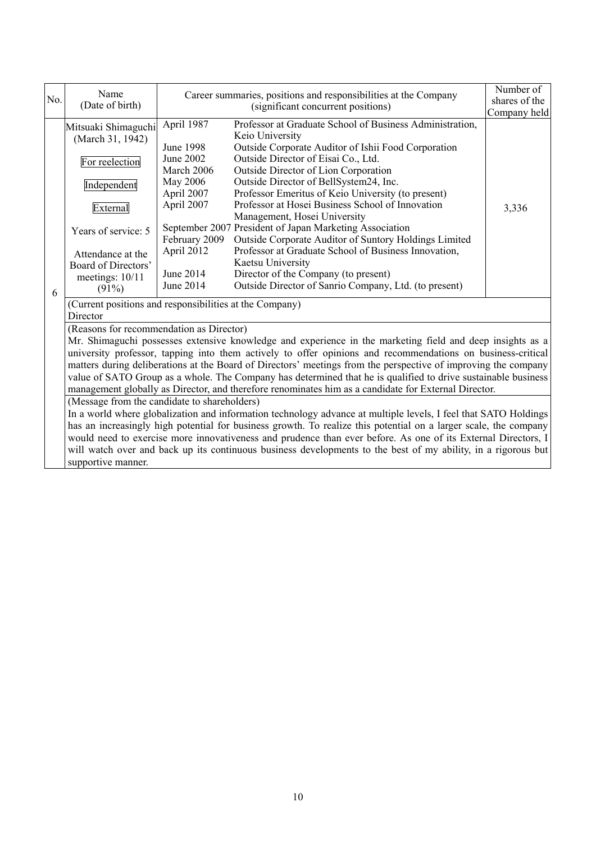| No. | Name<br>(Date of birth)                                                                                                                                                                  | Career summaries, positions and responsibilities at the Company<br>(significant concurrent positions)                                                      |                                                                                                                                                                                                                                                                                                                                                                                                                                                                                                                                                                                                                                                                                                                                                                                                                                                                                                                                                                                                                                              | Number of<br>shares of the<br>Company held |  |
|-----|------------------------------------------------------------------------------------------------------------------------------------------------------------------------------------------|------------------------------------------------------------------------------------------------------------------------------------------------------------|----------------------------------------------------------------------------------------------------------------------------------------------------------------------------------------------------------------------------------------------------------------------------------------------------------------------------------------------------------------------------------------------------------------------------------------------------------------------------------------------------------------------------------------------------------------------------------------------------------------------------------------------------------------------------------------------------------------------------------------------------------------------------------------------------------------------------------------------------------------------------------------------------------------------------------------------------------------------------------------------------------------------------------------------|--------------------------------------------|--|
| 6   | Mitsuaki Shimaguchi<br>(March 31, 1942)<br>For reelection<br>Independent<br>External<br>Years of service: 5<br>Attendance at the<br>Board of Directors'<br>meetings: $10/11$<br>$(91\%)$ | April 1987<br><b>June 1998</b><br>June 2002<br>March 2006<br>May 2006<br>April 2007<br>April 2007<br>February 2009<br>April 2012<br>June 2014<br>June 2014 | Professor at Graduate School of Business Administration,<br>Keio University<br>Outside Corporate Auditor of Ishii Food Corporation<br>Outside Director of Eisai Co., Ltd.<br>Outside Director of Lion Corporation<br>Outside Director of BellSystem24, Inc.<br>Professor Emeritus of Keio University (to present)<br>Professor at Hosei Business School of Innovation<br>Management, Hosei University<br>September 2007 President of Japan Marketing Association<br>Outside Corporate Auditor of Suntory Holdings Limited<br>Professor at Graduate School of Business Innovation,<br>Kaetsu University<br>Director of the Company (to present)<br>Outside Director of Sanrio Company, Ltd. (to present)                                                                                                                                                                                                                                                                                                                                      | 3,336                                      |  |
|     | (Current positions and responsibilities at the Company)<br>Director                                                                                                                      |                                                                                                                                                            |                                                                                                                                                                                                                                                                                                                                                                                                                                                                                                                                                                                                                                                                                                                                                                                                                                                                                                                                                                                                                                              |                                            |  |
|     | (Reasons for recommendation as Director)<br>(Message from the candidate to shareholders)<br>supportive manner.                                                                           |                                                                                                                                                            | Mr. Shimaguchi possesses extensive knowledge and experience in the marketing field and deep insights as a<br>university professor, tapping into them actively to offer opinions and recommendations on business-critical<br>matters during deliberations at the Board of Directors' meetings from the perspective of improving the company<br>value of SATO Group as a whole. The Company has determined that he is qualified to drive sustainable business<br>management globally as Director, and therefore renominates him as a candidate for External Director.<br>In a world where globalization and information technology advance at multiple levels, I feel that SATO Holdings<br>has an increasingly high potential for business growth. To realize this potential on a larger scale, the company<br>would need to exercise more innovativeness and prudence than ever before. As one of its External Directors, I<br>will watch over and back up its continuous business developments to the best of my ability, in a rigorous but |                                            |  |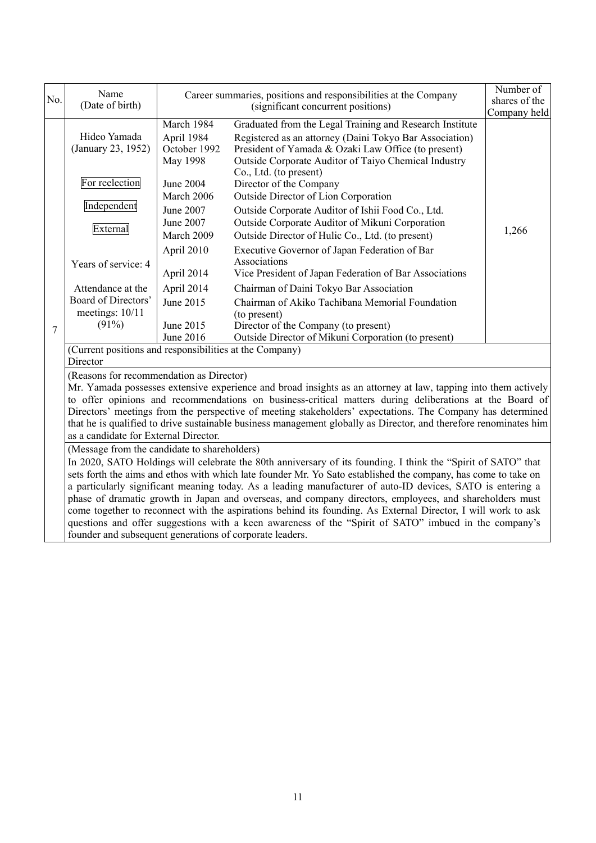|                                                                                                                                                                                                                                                                                                                                                                                                                                                                                                                                                                                                                                                                                                                                                                                                | Name                                                                                                                                                                                                                                                                                                                                                                                                                                                                                                                                              |                                                          | Career summaries, positions and responsibilities at the Company                                                                                                                                                                    | Number of                     |  |
|------------------------------------------------------------------------------------------------------------------------------------------------------------------------------------------------------------------------------------------------------------------------------------------------------------------------------------------------------------------------------------------------------------------------------------------------------------------------------------------------------------------------------------------------------------------------------------------------------------------------------------------------------------------------------------------------------------------------------------------------------------------------------------------------|---------------------------------------------------------------------------------------------------------------------------------------------------------------------------------------------------------------------------------------------------------------------------------------------------------------------------------------------------------------------------------------------------------------------------------------------------------------------------------------------------------------------------------------------------|----------------------------------------------------------|------------------------------------------------------------------------------------------------------------------------------------------------------------------------------------------------------------------------------------|-------------------------------|--|
| No.                                                                                                                                                                                                                                                                                                                                                                                                                                                                                                                                                                                                                                                                                                                                                                                            | (Date of birth)                                                                                                                                                                                                                                                                                                                                                                                                                                                                                                                                   | (significant concurrent positions)                       |                                                                                                                                                                                                                                    | shares of the<br>Company held |  |
|                                                                                                                                                                                                                                                                                                                                                                                                                                                                                                                                                                                                                                                                                                                                                                                                | Hideo Yamada<br>(January 23, 1952)                                                                                                                                                                                                                                                                                                                                                                                                                                                                                                                | March 1984<br>April 1984<br>October 1992<br>May 1998     | Graduated from the Legal Training and Research Institute<br>Registered as an attorney (Daini Tokyo Bar Association)<br>President of Yamada & Ozaki Law Office (to present)<br>Outside Corporate Auditor of Taiyo Chemical Industry |                               |  |
|                                                                                                                                                                                                                                                                                                                                                                                                                                                                                                                                                                                                                                                                                                                                                                                                | For reelection<br>Independent                                                                                                                                                                                                                                                                                                                                                                                                                                                                                                                     | <b>June 2004</b><br>March 2006<br>June 2007<br>June 2007 | Co., Ltd. (to present)<br>Director of the Company<br>Outside Director of Lion Corporation<br>Outside Corporate Auditor of Ishii Food Co., Ltd.<br>Outside Corporate Auditor of Mikuni Corporation                                  |                               |  |
|                                                                                                                                                                                                                                                                                                                                                                                                                                                                                                                                                                                                                                                                                                                                                                                                | External<br>Years of service: 4                                                                                                                                                                                                                                                                                                                                                                                                                                                                                                                   | March 2009<br>April 2010                                 | Outside Director of Hulic Co., Ltd. (to present)<br>Executive Governor of Japan Federation of Bar<br>Associations                                                                                                                  | 1,266                         |  |
|                                                                                                                                                                                                                                                                                                                                                                                                                                                                                                                                                                                                                                                                                                                                                                                                | Attendance at the<br>Board of Directors'<br>meetings: 10/11                                                                                                                                                                                                                                                                                                                                                                                                                                                                                       | April 2014<br>April 2014<br>June 2015                    | Vice President of Japan Federation of Bar Associations<br>Chairman of Daini Tokyo Bar Association<br>Chairman of Akiko Tachibana Memorial Foundation<br>(to present)                                                               |                               |  |
| $\overline{7}$                                                                                                                                                                                                                                                                                                                                                                                                                                                                                                                                                                                                                                                                                                                                                                                 | (91%)                                                                                                                                                                                                                                                                                                                                                                                                                                                                                                                                             | June 2015<br>June 2016                                   | Director of the Company (to present)<br>Outside Director of Mikuni Corporation (to present)                                                                                                                                        |                               |  |
|                                                                                                                                                                                                                                                                                                                                                                                                                                                                                                                                                                                                                                                                                                                                                                                                | (Current positions and responsibilities at the Company)<br>Director                                                                                                                                                                                                                                                                                                                                                                                                                                                                               |                                                          |                                                                                                                                                                                                                                    |                               |  |
|                                                                                                                                                                                                                                                                                                                                                                                                                                                                                                                                                                                                                                                                                                                                                                                                | (Reasons for recommendation as Director)<br>Mr. Yamada possesses extensive experience and broad insights as an attorney at law, tapping into them actively<br>to offer opinions and recommendations on business-critical matters during deliberations at the Board of<br>Directors' meetings from the perspective of meeting stakeholders' expectations. The Company has determined<br>that he is qualified to drive sustainable business management globally as Director, and therefore renominates him<br>as a candidate for External Director. |                                                          |                                                                                                                                                                                                                                    |                               |  |
| (Message from the candidate to shareholders)<br>In 2020, SATO Holdings will celebrate the 80th anniversary of its founding. I think the "Spirit of SATO" that<br>sets forth the aims and ethos with which late founder Mr. Yo Sato established the company, has come to take on<br>a particularly significant meaning today. As a leading manufacturer of auto-ID devices, SATO is entering a<br>phase of dramatic growth in Japan and overseas, and company directors, employees, and shareholders must<br>come together to reconnect with the aspirations behind its founding. As External Director, I will work to ask<br>questions and offer suggestions with a keen awareness of the "Spirit of SATO" imbued in the company's<br>founder and subsequent generations of corporate leaders. |                                                                                                                                                                                                                                                                                                                                                                                                                                                                                                                                                   |                                                          |                                                                                                                                                                                                                                    |                               |  |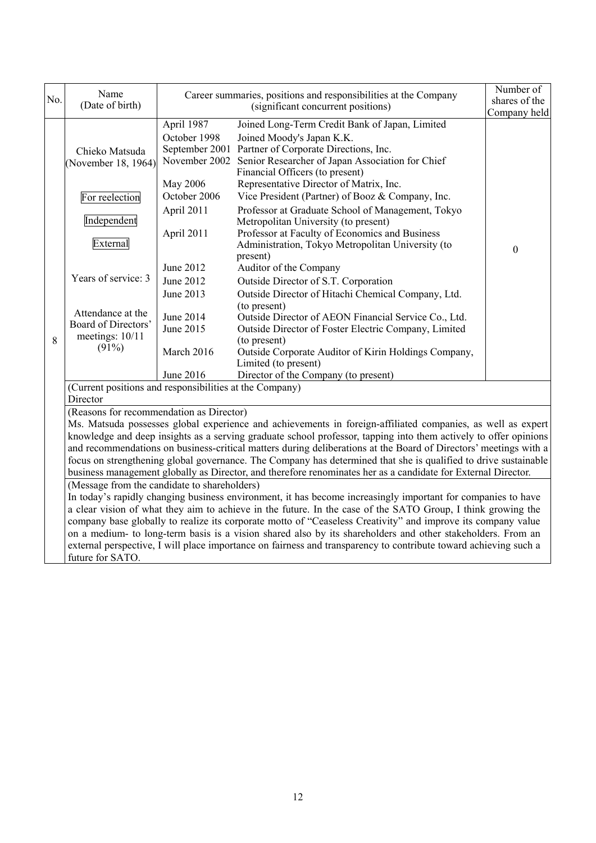| No. | Name<br>(Date of birth)                                                                                                                                                                                                                                                                                                                                                                         |                                                                           | Career summaries, positions and responsibilities at the Company<br>(significant concurrent positions)                                                                                                                                                                | Number of<br>shares of the |  |  |
|-----|-------------------------------------------------------------------------------------------------------------------------------------------------------------------------------------------------------------------------------------------------------------------------------------------------------------------------------------------------------------------------------------------------|---------------------------------------------------------------------------|----------------------------------------------------------------------------------------------------------------------------------------------------------------------------------------------------------------------------------------------------------------------|----------------------------|--|--|
|     |                                                                                                                                                                                                                                                                                                                                                                                                 |                                                                           |                                                                                                                                                                                                                                                                      | Company held               |  |  |
|     | Chieko Matsuda<br>(November 18, 1964)                                                                                                                                                                                                                                                                                                                                                           | April 1987<br>October 1998<br>September 2001<br>November 2002<br>May 2006 | Joined Long-Term Credit Bank of Japan, Limited<br>Joined Moody's Japan K.K.<br>Partner of Corporate Directions, Inc.<br>Senior Researcher of Japan Association for Chief<br>Financial Officers (to present)<br>Representative Director of Matrix, Inc.               |                            |  |  |
|     | For reelection                                                                                                                                                                                                                                                                                                                                                                                  | October 2006                                                              | Vice President (Partner) of Booz & Company, Inc.                                                                                                                                                                                                                     |                            |  |  |
|     |                                                                                                                                                                                                                                                                                                                                                                                                 | April 2011                                                                | Professor at Graduate School of Management, Tokyo                                                                                                                                                                                                                    |                            |  |  |
|     | Independent<br>External                                                                                                                                                                                                                                                                                                                                                                         | April 2011                                                                | Metropolitan University (to present)<br>Professor at Faculty of Economics and Business<br>Administration, Tokyo Metropolitan University (to<br>present)                                                                                                              | $\mathbf{0}$               |  |  |
|     |                                                                                                                                                                                                                                                                                                                                                                                                 | June 2012                                                                 | Auditor of the Company                                                                                                                                                                                                                                               |                            |  |  |
|     | Years of service: 3                                                                                                                                                                                                                                                                                                                                                                             | June 2012                                                                 | Outside Director of S.T. Corporation                                                                                                                                                                                                                                 |                            |  |  |
|     |                                                                                                                                                                                                                                                                                                                                                                                                 | June 2013                                                                 | Outside Director of Hitachi Chemical Company, Ltd.                                                                                                                                                                                                                   |                            |  |  |
| 8   | Attendance at the<br>Board of Directors'<br>meetings: 10/11<br>$(91\%)$                                                                                                                                                                                                                                                                                                                         | June 2014<br>June 2015<br>March 2016<br>June 2016                         | (to present)<br>Outside Director of AEON Financial Service Co., Ltd.<br>Outside Director of Foster Electric Company, Limited<br>(to present)<br>Outside Corporate Auditor of Kirin Holdings Company,<br>Limited (to present)<br>Director of the Company (to present) |                            |  |  |
|     | (Current positions and responsibilities at the Company)                                                                                                                                                                                                                                                                                                                                         |                                                                           |                                                                                                                                                                                                                                                                      |                            |  |  |
|     | Director                                                                                                                                                                                                                                                                                                                                                                                        |                                                                           |                                                                                                                                                                                                                                                                      |                            |  |  |
|     | (Reasons for recommendation as Director)<br>Ms. Matsuda possesses global experience and achievements in foreign-affiliated companies, as well as expert<br>knowledge and deep insights as a serving graduate school professor, tapping into them actively to offer opinions<br>and recommendations on business-critical matters during deliberations at the Board of Directors' meetings with a |                                                                           |                                                                                                                                                                                                                                                                      |                            |  |  |
|     |                                                                                                                                                                                                                                                                                                                                                                                                 |                                                                           | focus on strengthening global governance. The Company has determined that she is qualified to drive sustainable                                                                                                                                                      |                            |  |  |
|     |                                                                                                                                                                                                                                                                                                                                                                                                 |                                                                           | business management globally as Director, and therefore renominates her as a candidate for External Director.                                                                                                                                                        |                            |  |  |
|     | (Message from the candidate to shareholders)                                                                                                                                                                                                                                                                                                                                                    |                                                                           |                                                                                                                                                                                                                                                                      |                            |  |  |
|     | In today's rapidly changing business environment, it has become increasingly important for companies to have<br>a clear vision of what they aim to achieve in the future. In the case of the SATO Group, I think growing the                                                                                                                                                                    |                                                                           |                                                                                                                                                                                                                                                                      |                            |  |  |
|     |                                                                                                                                                                                                                                                                                                                                                                                                 |                                                                           | company base globally to realize its corporate motto of "Ceaseless Creativity" and improve its company value                                                                                                                                                         |                            |  |  |
|     |                                                                                                                                                                                                                                                                                                                                                                                                 |                                                                           | on a medium- to long-term basis is a vision shared also by its shareholders and other stakeholders. From an                                                                                                                                                          |                            |  |  |
|     |                                                                                                                                                                                                                                                                                                                                                                                                 |                                                                           | external perspective, I will place importance on fairness and transparency to contribute toward achieving such a                                                                                                                                                     |                            |  |  |
|     | future for SATO.                                                                                                                                                                                                                                                                                                                                                                                |                                                                           |                                                                                                                                                                                                                                                                      |                            |  |  |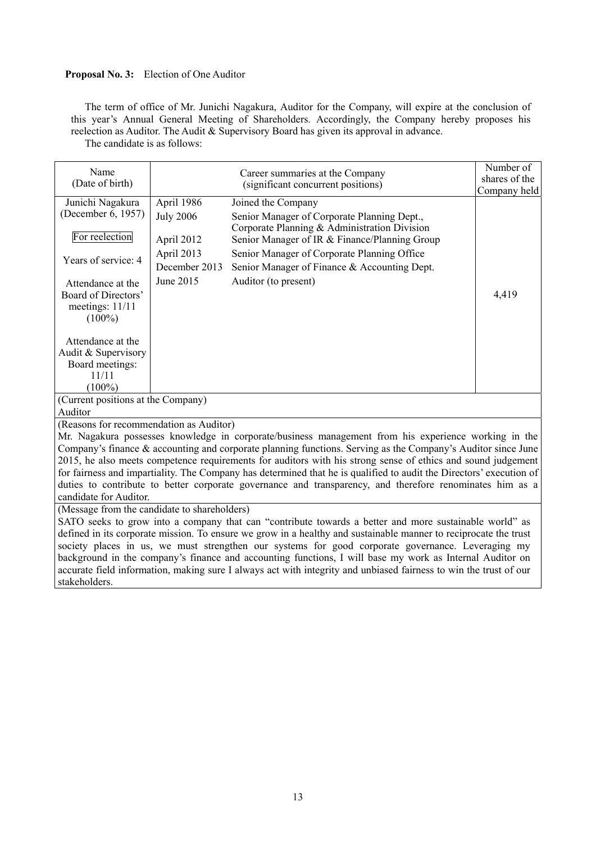# **Proposal No. 3:** Election of One Auditor

The term of office of Mr. Junichi Nagakura, Auditor for the Company, will expire at the conclusion of this year's Annual General Meeting of Shareholders. Accordingly, the Company hereby proposes his reelection as Auditor. The Audit & Supervisory Board has given its approval in advance. The candidate is as follows:

Name (Date of birth) Career summaries at the Company (significant concurrent positions) Number of shares of the Company held Junichi Nagakura (December 6, 1957) For reelection Years of service: 4 Attendance at the Board of Directors' meetings: 11/11  $(100\%)$ Attendance at the Audit & Supervisory Board meetings: 11/11  $(100\%)$ April 1986 Joined the Company 4,419 July 2006 Senior Manager of Corporate Planning Dept., Corporate Planning & Administration Division April 2012 Senior Manager of IR & Finance/Planning Group April 2013 Senior Manager of Corporate Planning Office December 2013 Senior Manager of Finance & Accounting Dept. June 2015 Auditor (to present) (Current positions at the Company) Auditor (Reasons for recommendation as Auditor) Mr. Nagakura possesses knowledge in corporate/business management from his experience working in the Company's finance & accounting and corporate planning functions. Serving as the Company's Auditor since June 2015, he also meets competence requirements for auditors with his strong sense of ethics and sound judgement for fairness and impartiality. The Company has determined that he is qualified to audit the Directors' execution of duties to contribute to better corporate governance and transparency, and therefore renominates him as a candidate for Auditor. (Message from the candidate to shareholders) SATO seeks to grow into a company that can "contribute towards a better and more sustainable world" as defined in its corporate mission. To ensure we grow in a healthy and sustainable manner to reciprocate the trust society places in us, we must strengthen our systems for good corporate governance. Leveraging my background in the company's finance and accounting functions, I will base my work as Internal Auditor on accurate field information, making sure I always act with integrity and unbiased fairness to win the trust of our

# stakeholders.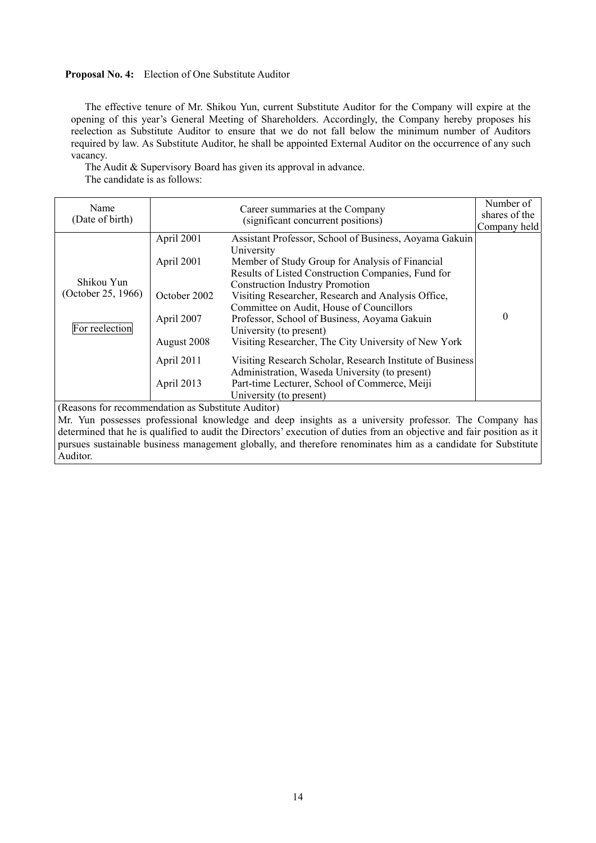# **Proposal No. 4:** Election of One Substitute Auditor

Auditor.

The effective tenure of Mr. Shikou Yun, current Substitute Auditor for the Company will expire at the opening of this year's General Meeting of Shareholders. Accordingly, the Company hereby proposes his reelection as Substitute Auditor to ensure that we do not fall below the minimum number of Auditors required by law. As Substitute Auditor, he shall be appointed External Auditor on the occurrence of any such vacancy.

The Audit & Supervisory Board has given its approval in advance. The candidate is as follows:

| Name<br>(Date of birth)                            |              | Career summaries at the Company<br>(significant concurrent positions)                                                 | Number of<br>shares of the |
|----------------------------------------------------|--------------|-----------------------------------------------------------------------------------------------------------------------|----------------------------|
|                                                    |              |                                                                                                                       | Company held               |
|                                                    | April 2001   | Assistant Professor, School of Business, Aoyama Gakuin<br>University                                                  |                            |
|                                                    | April 2001   | Member of Study Group for Analysis of Financial                                                                       |                            |
|                                                    |              | Results of Listed Construction Companies, Fund for                                                                    |                            |
| Shikou Yun                                         |              | <b>Construction Industry Promotion</b>                                                                                |                            |
| (October 25, 1966)                                 | October 2002 | Visiting Researcher, Research and Analysis Office,                                                                    |                            |
|                                                    |              | Committee on Audit, House of Councillors                                                                              |                            |
|                                                    | April 2007   | Professor, School of Business, Aoyama Gakuin                                                                          | 0                          |
| For reelection                                     |              | University (to present)                                                                                               |                            |
|                                                    | August 2008  | Visiting Researcher, The City University of New York                                                                  |                            |
|                                                    | April 2011   | Visiting Research Scholar, Research Institute of Business                                                             |                            |
|                                                    |              | Administration, Waseda University (to present)                                                                        |                            |
|                                                    | April 2013   | Part-time Lecturer, School of Commerce, Meiji                                                                         |                            |
|                                                    |              | University (to present)                                                                                               |                            |
| (Reasons for recommendation as Substitute Auditor) |              |                                                                                                                       |                            |
|                                                    |              | Mr. Yun possesses professional knowledge and deep insights as a university professor. The Company has                 |                            |
|                                                    |              | determined that he is qualified to audit the Directors' execution of duties from an objective and fair position as it |                            |
|                                                    |              | pursues sustainable business management globally, and therefore renominates him as a candidate for Substitute         |                            |

14